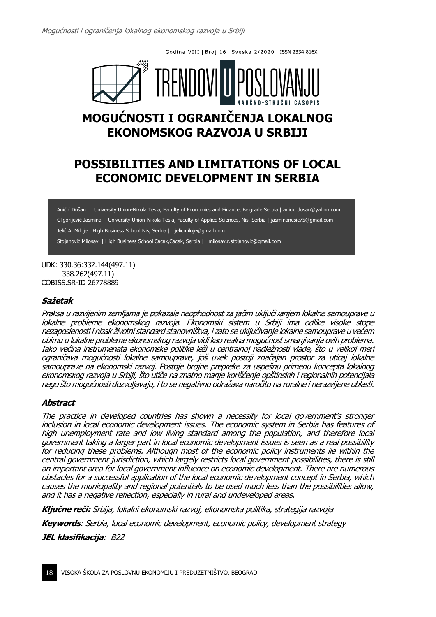Godina VIII | Broj 16 | Sveska 2/2020 | ISSN 2334-816X



# **MOGUĆNOSTI I OGRANIČENJA LOKALNOG EKONOMSKOG RAZVOJA U SRBIJI**

# **POSSIBILITIES AND LIMITATIONS OF LOCAL ECONOMIC DEVELOPMENT IN SERBIA**

Aničić Dušan | University Union-Nikola Tesla, Faculty of Economics and Finance, Belgrade,Serbia | anicic.dusan@yahoo.com Gligorijević Jasmina | University Union-Nikola Tesla, Faculty of Applied Sciences, Nis, Serbia | jasminanesic75@gmail.com Jelić A. Miloje | High Business School Nis, Serbia | jelicmiloje@gmail.com Stojanović Milosav | High Business School Cacak,Cacak, Serbia | milosav.r.stojanovic@gmail.com

UDK: 330.36:332.144(497.11) 338.262(497.11) COBISS.SR-ID 26778889

#### **Sažetak**

Praksa u razvijenim zemljama je pokazala neophodnost za jačim uključivanjem lokalne samouprave u lokalne probleme ekonomskog razvoja. Ekonomski sistem u Srbiji ima odlike visoke stope nezaposlenosti i nizak životni standard stanovništva, i zato se uključivanje lokalne samouprave u većem obimu u lokalne probleme ekonomskog razvoja vidi kao realna mogućnost smanjivanja ovih problema. Iako većina instrumenata ekonomske politike leži u centralnoj nadležnosti vlade, što u velikoj meri ograničava mogućnosti lokalne samouprave, još uvek postoji značajan prostor za uticaj lokalne samouprave na ekonomski razvoj. Postoje brojne prepreke za uspešnu primenu koncepta lokalnog ekonomskog razvoja u Srbiji, što utiče na znatno manje korišćenje opštinskih i regionalnih potencijala nego što mogućnosti dozvoljavaju, i to se negativno odražava naročito na ruralne i nerazvijene oblasti.

#### **Abstract**

The practice in developed countries has shown a necessity for local government's stronger inclusion in local economic development issues. The economic system in Serbia has features of high unemployment rate and low living standard among the population, and therefore local government taking a larger part in local economic development issues is seen as a real possibility for reducing these problems. Although most of the economic policy instruments lie within the central government jurisdiction, which largely restricts local government possibilities, there is still an important area for local government influence on economic development. There are numerous obstacles for a successful application of the local economic development concept in Serbia, which causes the municipality and regional potentials to be used much less than the possibilities allow, and it has a negative reflection, especially in rural and undeveloped areas.

**Ključne reči:** Srbija, lokalni ekonomski razvoj, ekonomska politika, strategija razvoja

**Keywords**: Serbia, local economic development, economic policy, development strategy

**JEL klasifikacija**: B22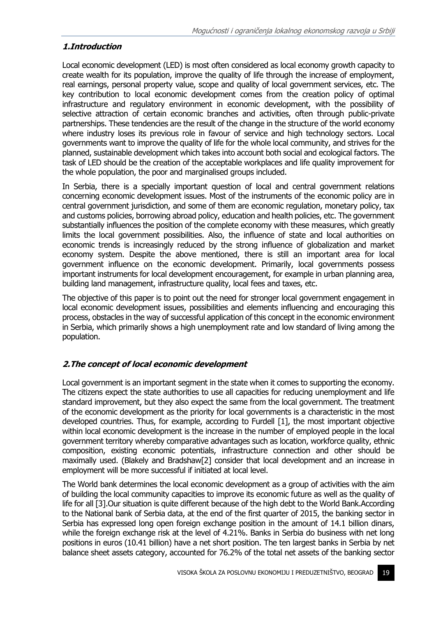# **1.Introduction**

Local economic development (LED) is most often considered as local economy growth capacity to create wealth for its population, improve the quality of life through the increase of employment, real earnings, personal property value, scope and quality of local government services, etc. The key contribution to local economic development comes from the creation policy of optimal infrastructure and regulatory environment in economic development, with the possibility of selective attraction of certain economic branches and activities, often through public-private partnerships. These tendencies are the result of the change in the structure of the world economy where industry loses its previous role in favour of service and high technology sectors. Local governments want to improve the quality of life for the whole local community, and strives for the planned, sustainable development which takes into account both social and ecological factors. The task of LED should be the creation of the acceptable workplaces and life quality improvement for the whole population, the poor and marginalised groups included.

In Serbia, there is a specially important question of local and central government relations concerning economic development issues. Most of the instruments of the economic policy are in central government jurisdiction, and some of them are economic regulation, monetary policy, tax and customs policies, borrowing abroad policy, education and health policies, etc. The government substantially influences the position of the complete economy with these measures, which greatly limits the local government possibilities. Also, the influence of state and local authorities on economic trends is increasingly reduced by the strong influence of globalization and market economy system. Despite the above mentioned, there is still an important area for local government influence on the economic development. Primarily, local governments possess important instruments for local development encouragement, for example in urban planning area, building land management, infrastructure quality, local fees and taxes, etc.

The objective of this paper is to point out the need for stronger local government engagement in local economic development issues, possibilities and elements influencing and encouraging this process, obstacles in the way of successful application of this concept in the economic environment in Serbia, which primarily shows a high unemployment rate and low standard of living among the population.

# **2.The concept of local economic development**

Local government is an important segment in the state when it comes to supporting the economy. The citizens expect the state authorities to use all capacities for reducing unemployment and life standard improvement, but they also expect the same from the local government. The treatment of the economic development as the priority for local governments is a characteristic in the most developed countries. Thus, for example, according to Furdell [1], the most important objective within local economic development is the increase in the number of employed people in the local government territory whereby comparative advantages such as location, workforce quality, ethnic composition, existing economic potentials, infrastructure connection and other should be maximally used. (Blakely and Bradshaw[2] consider that local development and an increase in employment will be more successful if initiated at local level.

The World bank determines the local economic development as a group of activities with the aim of building the local community capacities to improve its economic future as well as the quality of life for all [3].Our situation is quite different because of the high debt to the World Bank.According to the National bank of Serbia data, at the end of the first quarter of 2015, the banking sector in Serbia has expressed long open foreign exchange position in the amount of 14.1 billion dinars, while the foreign exchange risk at the level of 4.21%. Banks in Serbia do business with net long positions in euros (10.41 billion) have a net short position. The ten largest banks in Serbia by net balance sheet assets category, accounted for 76.2% of the total net assets of the banking sector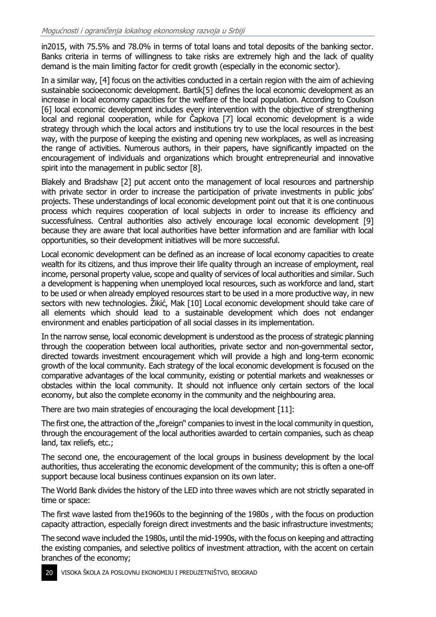in2015, with 75.5% and 78.0% in terms of total loans and total deposits of the banking sector. Banks criteria in terms of willingness to take risks are extremely high and the lack of quality demand is the main limiting factor for credit growth (especially in the economic sector).

In a similar way, [4] focus on the activities conducted in a certain region with the aim of achieving sustainable socioeconomic development. Bartik[5] defines the local economic development as an increase in local economy capacities for the welfare of the local population. According to Coulson [6] local economic development includes every intervention with the objective of strengthening local and regional cooperation, while for Čapkova [7] local economic development is a wide strategy through which the local actors and institutions try to use the local resources in the best way, with the purpose of keeping the existing and opening new workplaces, as well as increasing the range of activities. Numerous authors, in their papers, have significantly impacted on the encouragement of individuals and organizations which brought entrepreneurial and innovative spirit into the management in public sector [8].

Blakely and Bradshaw [2] put accent onto the management of local resources and partnership with private sector in order to increase the participation of private investments in public jobs' projects. These understandings of local economic development point out that it is one continuous process which requires cooperation of local subjects in order to increase its efficiency and successfulness. Central authorities also actively encourage local economic development [9] because they are aware that local authorities have better information and are familiar with local opportunities, so their development initiatives will be more successful.

Local economic development can be defined as an increase of local economy capacities to create wealth for its citizens, and thus improve their life quality through an increase of employment, real income, personal property value, scope and quality of services of local authorities and similar. Such a development is happening when unemployed local resources, such as workforce and land, start to be used or when already employed resources start to be used in a more productive way, in new sectors with new technologies. Žikić, Mak [10] Local economic development should take care of all elements which should lead to a sustainable development which does not endanger environment and enables participation of all social classes in its implementation.

In the narrow sense, local economic development is understood as the process of strategic planning through the cooperation between local authorities, private sector and non-governmental sector, directed towards investment encouragement which will provide a high and long-term economic growth of the local community. Each strategy of the local economic development is focused on the comparative advantages of the local community, existing or potential markets and weaknesses or obstacles within the local community. It should not influence only certain sectors of the local economy, but also the complete economy in the community and the neighbouring area.

There are two main strategies of encouraging the local development [11]:

The first one, the attraction of the "foreign" companies to invest in the local community in question, through the encouragement of the local authorities awarded to certain companies, such as cheap land, tax reliefs, etc.;

The second one, the encouragement of the local groups in business development by the local authorities, thus accelerating the economic development of the community; this is often a one-off support because local business continues expansion on its own later.

The World Bank divides the history of the LED into three waves which are not strictly separated in time or space:

The first wave lasted from the1960s to the beginning of the 1980s , with the focus on production capacity attraction, especially foreign direct investments and the basic infrastructure investments;

The second wave included the 1980s, until the mid-1990s, with the focus on keeping and attracting the existing companies, and selective politics of investment attraction, with the accent on certain branches of the economy;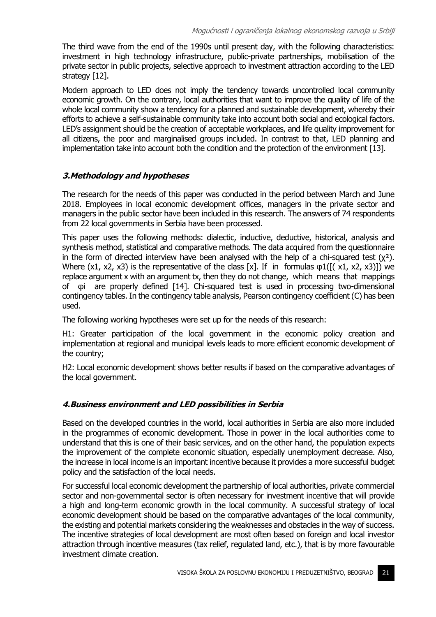The third wave from the end of the 1990s until present day, with the following characteristics: investment in high technology infrastructure, public-private partnerships, mobilisation of the private sector in public projects, selective approach to investment attraction according to the LED strategy [12].

Modern approach to LED does not imply the tendency towards uncontrolled local community economic growth. On the contrary, local authorities that want to improve the quality of life of the whole local community show a tendency for a planned and sustainable development, whereby their efforts to achieve a self-sustainable community take into account both social and ecological factors. LED's assignment should be the creation of acceptable workplaces, and life quality improvement for all citizens, the poor and marginalised groups included. In contrast to that, LED planning and implementation take into account both the condition and the protection of the environment [13].

# **3.Methodology and hypotheses**

The research for the needs of this paper was conducted in the period between March and June 2018. Employees in local economic development offices, managers in the private sector and managers in the public sector have been included in this research. The answers of 74 respondents from 22 local governments in Serbia have been processed.

This paper uses the following methods: dialectic, inductive, deductive, historical, analysis and synthesis method, statistical and comparative methods. The data acquired from the questionnaire in the form of directed interview have been analysed with the help of a chi-squared test  $(y^2)$ . Where  $(x1, x2, x3)$  is the representative of the class [x]. If in formulas  $\varphi 1([x1, x2, x3)])$  we replace argument x with an argument tx, then they do not change, which means that mappings of φi are properly defined [14]. Chi-squared test is used in processing two-dimensional contingency tables. In the contingency table analysis, Pearson contingency coefficient (C) has been used.

The following working hypotheses were set up for the needs of this research:

H1: Greater participation of the local government in the economic policy creation and implementation at regional and municipal levels leads to more efficient economic development of the country;

H2: Local economic development shows better results if based on the comparative advantages of the local government.

#### **4.Business environment and LED possibilities in Serbia**

Based on the developed countries in the world, local authorities in Serbia are also more included in the programmes of economic development. Those in power in the local authorities come to understand that this is one of their basic services, and on the other hand, the population expects the improvement of the complete economic situation, especially unemployment decrease. Also, the increase in local income is an important incentive because it provides a more successful budget policy and the satisfaction of the local needs.

For successful local economic development the partnership of local authorities, private commercial sector and non-governmental sector is often necessary for investment incentive that will provide a high and long-term economic growth in the local community. A successful strategy of local economic development should be based on the comparative advantages of the local community, the existing and potential markets considering the weaknesses and obstacles in the way of success. The incentive strategies of local development are most often based on foreign and local investor attraction through incentive measures (tax relief, regulated land, etc.), that is by more favourable investment climate creation.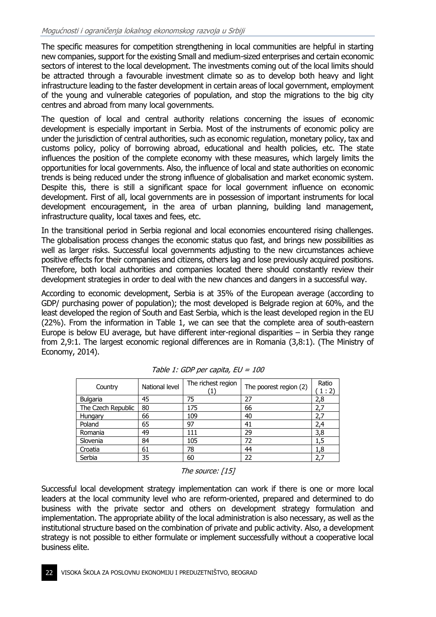The specific measures for competition strengthening in local communities are helpful in starting new companies, support for the existing Small and medium-sized enterprises and certain economic sectors of interest to the local development. The investments coming out of the local limits should be attracted through a favourable investment climate so as to develop both heavy and light infrastructure leading to the faster development in certain areas of local government, employment of the young and vulnerable categories of population, and stop the migrations to the big city centres and abroad from many local governments.

The question of local and central authority relations concerning the issues of economic development is especially important in Serbia. Most of the instruments of economic policy are under the jurisdiction of central authorities, such as economic regulation, monetary policy, tax and customs policy, policy of borrowing abroad, educational and health policies, etc. The state influences the position of the complete economy with these measures, which largely limits the opportunities for local governments. Also, the influence of local and state authorities on economic trends is being reduced under the strong influence of globalisation and market economic system. Despite this, there is still a significant space for local government influence on economic development. First of all, local governments are in possession of important instruments for local development encouragement, in the area of urban planning, building land management, infrastructure quality, local taxes and fees, etc.

In the transitional period in Serbia regional and local economies encountered rising challenges. The globalisation process changes the economic status quo fast, and brings new possibilities as well as larger risks. Successful local governments adjusting to the new circumstances achieve positive effects for their companies and citizens, others lag and lose previously acquired positions. Therefore, both local authorities and companies located there should constantly review their development strategies in order to deal with the new chances and dangers in a successful way.

According to economic development, Serbia is at 35% of the European average (according to GDP/ purchasing power of population); the most developed is Belgrade region at 60%, and the least developed the region of South and East Serbia, which is the least developed region in the EU (22%). From the information in Table 1, we can see that the complete area of south-eastern Europe is below EU average, but have different inter-regional disparities – in Serbia they range from 2,9:1. The largest economic regional differences are in Romania (3,8:1). (The Ministry of Economy, 2014).

| Country            | National level | The richest region | The poorest region (2) | Ratio<br>1:2) |
|--------------------|----------------|--------------------|------------------------|---------------|
| <b>Bulgaria</b>    | 45             | 75                 | 27                     | 2,8           |
| The Czech Republic | 80             | 175                | 66                     | 2,7           |
| Hungary            | 66             | 109                | 40                     | 2.7           |
| Poland             | 65             | 97                 | 41                     | 2,4           |
| Romania            | 49             | 111                | 29                     | 3,8           |
| Slovenia           | 84             | 105                | 72                     | 1,5           |
| Croatia            | 61             | 78                 | 44                     | 1,8           |
| Serbia             | 35             | 60                 | 22                     | 2,7           |

Table 1: GDP per capita, EU = 100

The source: [15]

Successful local development strategy implementation can work if there is one or more local leaders at the local community level who are reform-oriented, prepared and determined to do business with the private sector and others on development strategy formulation and implementation. The appropriate ability of the local administration is also necessary, as well as the institutional structure based on the combination of private and public activity. Also, a development strategy is not possible to either formulate or implement successfully without a cooperative local business elite.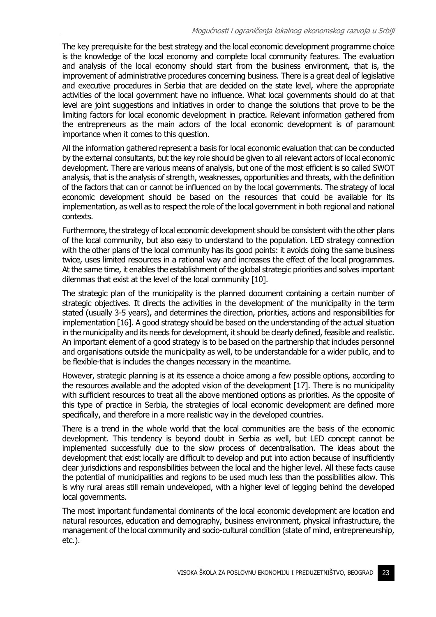The key prerequisite for the best strategy and the local economic development programme choice is the knowledge of the local economy and complete local community features. The evaluation and analysis of the local economy should start from the business environment, that is, the improvement of administrative procedures concerning business. There is a great deal of legislative and executive procedures in Serbia that are decided on the state level, where the appropriate activities of the local government have no influence. What local governments should do at that level are joint suggestions and initiatives in order to change the solutions that prove to be the limiting factors for local economic development in practice. Relevant information gathered from the entrepreneurs as the main actors of the local economic development is of paramount importance when it comes to this question.

All the information gathered represent a basis for local economic evaluation that can be conducted by the external consultants, but the key role should be given to all relevant actors of local economic development. There are various means of analysis, but one of the most efficient is so called SWOT analysis, that is the analysis of strength, weaknesses, opportunities and threats, with the definition of the factors that can or cannot be influenced on by the local governments. The strategy of local economic development should be based on the resources that could be available for its implementation, as well as to respect the role of the local government in both regional and national contexts.

Furthermore, the strategy of local economic development should be consistent with the other plans of the local community, but also easy to understand to the population. LED strategy connection with the other plans of the local community has its good points: it avoids doing the same business twice, uses limited resources in a rational way and increases the effect of the local programmes. At the same time, it enables the establishment of the global strategic priorities and solves important dilemmas that exist at the level of the local community [10].

The strategic plan of the municipality is the planned document containing a certain number of strategic objectives. It directs the activities in the development of the municipality in the term stated (usually 3-5 years), and determines the direction, priorities, actions and responsibilities for implementation [16]. A good strategy should be based on the understanding of the actual situation in the municipality and its needs for development, it should be clearly defined, feasible and realistic. An important element of a good strategy is to be based on the partnership that includes personnel and organisations outside the municipality as well, to be understandable for a wider public, and to be flexible-that is includes the changes necessary in the meantime.

However, strategic planning is at its essence a choice among a few possible options, according to the resources available and the adopted vision of the development [17]. There is no municipality with sufficient resources to treat all the above mentioned options as priorities. As the opposite of this type of practice in Serbia, the strategies of local economic development are defined more specifically, and therefore in a more realistic way in the developed countries.

There is a trend in the whole world that the local communities are the basis of the economic development. This tendency is beyond doubt in Serbia as well, but LED concept cannot be implemented successfully due to the slow process of decentralisation. The ideas about the development that exist locally are difficult to develop and put into action because of insufficiently clear jurisdictions and responsibilities between the local and the higher level. All these facts cause the potential of municipalities and regions to be used much less than the possibilities allow. This is why rural areas still remain undeveloped, with a higher level of legging behind the developed local governments.

The most important fundamental dominants of the local economic development are location and natural resources, education and demography, business environment, physical infrastructure, the management of the local community and socio-cultural condition (state of mind, entrepreneurship, etc.).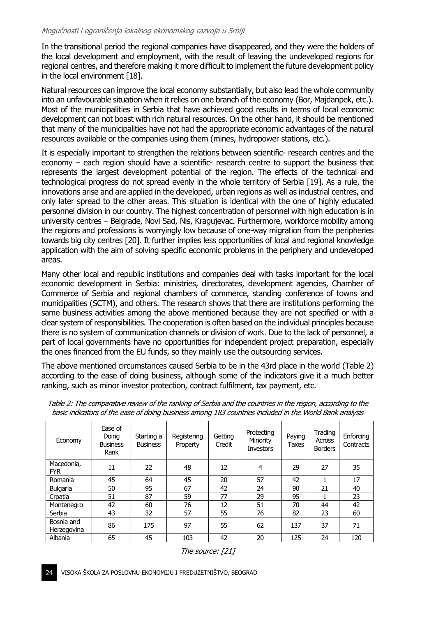In the transitional period the regional companies have disappeared, and they were the holders of the local development and employment, with the result of leaving the undeveloped regions for regional centres, and therefore making it more difficult to implement the future development policy in the local environment [18].

Natural resources can improve the local economy substantially, but also lead the whole community into an unfavourable situation when it relies on one branch of the economy (Bor, Majdanpek, etc.). Most of the municipalities in Serbia that have achieved good results in terms of local economic development can not boast with rich natural resources. On the other hand, it should be mentioned that many of the municipalities have not had the appropriate economic advantages of the natural resources available or the companies using them (mines, hydropower stations, etc.).

It is especially important to strengthen the relations between scientific- research centres and the economy – each region should have a scientific- research centre to support the business that represents the largest development potential of the region. The effects of the technical and technological progress do not spread evenly in the whole territory of Serbia [19]. As a rule, the innovations arise and are applied in the developed, urban regions as well as industrial centres, and only later spread to the other areas. This situation is identical with the one of highly educated personnel division in our country. The highest concentration of personnel with high education is in university centres – Belgrade, Novi Sad, Nis, Kragujevac. Furthermore, workforce mobility among the regions and professions is worryingly low because of one-way migration from the peripheries towards big city centres [20]. It further implies less opportunities of local and regional knowledge application with the aim of solving specific economic problems in the periphery and undeveloped areas.

Many other local and republic institutions and companies deal with tasks important for the local economic development in Serbia: ministries, directorates, development agencies, Chamber of Commerce of Serbia and regional chambers of commerce, standing conference of towns and municipalities (SCTM), and others. The research shows that there are institutions performing the same business activities among the above mentioned because they are not specified or with a clear system of responsibilities. The cooperation is often based on the individual principles because there is no system of communication channels or division of work. Due to the lack of personnel, a part of local governments have no opportunities for independent project preparation, especially the ones financed from the EU funds, so they mainly use the outsourcing services.

The above mentioned circumstances caused Serbia to be in the 43rd place in the world (Table 2) according to the ease of doing business, although some of the indicators give it a much better ranking, such as minor investor protection, contract fulfilment, tax payment, etc.

| Economy                   | Ease of<br>Doina<br><b>Business</b><br>Rank | Starting a<br><b>Business</b> | Registering<br>Property | Getting<br>Credit | Protecting<br>Minority<br><b>Investors</b> | Paying<br><b>Taxes</b> | Trading<br>Across<br><b>Borders</b> | Enforcing<br>Contracts |
|---------------------------|---------------------------------------------|-------------------------------|-------------------------|-------------------|--------------------------------------------|------------------------|-------------------------------------|------------------------|
| Macedonia,<br><b>FYR</b>  | 11                                          | 22                            | 48                      | 12                | 4                                          | 29                     | 27                                  | 35                     |
| Romania                   | 45                                          | 64                            | 45                      | 20                | 57                                         | 42                     |                                     | 17                     |
| <b>Bulgaria</b>           | 50                                          | 95                            | 67                      | 42                | 24                                         | 90                     | 21                                  | 40                     |
| Croatia                   | 51                                          | 87                            | 59                      | 77                | 29                                         | 95                     |                                     | 23                     |
| Montenegro                | 42                                          | 60                            | 76                      | 12                | 51                                         | 70                     | 44                                  | 42                     |
| Serbia                    | 43                                          | 32                            | 57                      | 55                | 76                                         | 82                     | 23                                  | 60                     |
| Bosnia and<br>Herzegovina | 86                                          | 175                           | 97                      | 55                | 62                                         | 137                    | 37                                  | 71                     |
| Albania                   | 65                                          | 45                            | 103                     | 42                | 20                                         | 125                    | 24                                  | 120                    |

Table 2: The comparative review of the ranking of Serbia and the countries in the region, according to the basic indicators of the ease of doing business among 183 countries included in the World Bank analysis

The source: [21]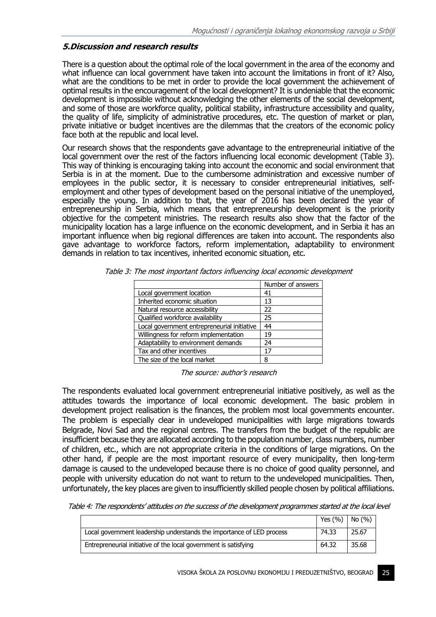#### **5.Discussion and research results**

There is a question about the optimal role of the local government in the area of the economy and what influence can local government have taken into account the limitations in front of it? Also, what are the conditions to be met in order to provide the local government the achievement of optimal results in the encouragement of the local development? It is undeniable that the economic development is impossible without acknowledging the other elements of the social development, and some of those are workforce quality, political stability, infrastructure accessibility and quality, the quality of life, simplicity of administrative procedures, etc. The question of market or plan, private initiative or budget incentives are the dilemmas that the creators of the economic policy face both at the republic and local level.

Our research shows that the respondents gave advantage to the entrepreneurial initiative of the local government over the rest of the factors influencing local economic development (Table 3). This way of thinking is encouraging taking into account the economic and social environment that Serbia is in at the moment. Due to the cumbersome administration and excessive number of employees in the public sector, it is necessary to consider entrepreneurial initiatives, selfemployment and other types of development based on the personal initiative of the unemployed, especially the young. In addition to that, the year of 2016 has been declared the year of entrepreneurship in Serbia, which means that entrepreneurship development is the priority objective for the competent ministries. The research results also show that the factor of the municipality location has a large influence on the economic development, and in Serbia it has an important influence when big regional differences are taken into account. The respondents also gave advantage to workforce factors, reform implementation, adaptability to environment demands in relation to tax incentives, inherited economic situation, etc.

|                                             | Number of answers |
|---------------------------------------------|-------------------|
| Local government location                   | 41                |
| Inherited economic situation                | 13                |
| Natural resource accessibility              | 22                |
| Qualified workforce availability            | 25                |
| Local government entrepreneurial initiative | 44                |
| Willingness for reform implementation       | 19                |
| Adaptability to environment demands         | 24                |
| Tax and other incentives                    | 17                |
| The size of the local market                | 8                 |

Table 3: The most important factors influencing local economic development

The source: author's research

The respondents evaluated local government entrepreneurial initiative positively, as well as the attitudes towards the importance of local economic development. The basic problem in development project realisation is the finances, the problem most local governments encounter. The problem is especially clear in undeveloped municipalities with large migrations towards Belgrade, Novi Sad and the regional centres. The transfers from the budget of the republic are insufficient because they are allocated according to the population number, class numbers, number of children, etc., which are not appropriate criteria in the conditions of large migrations. On the other hand, if people are the most important resource of every municipality, then long-term damage is caused to the undeveloped because there is no choice of good quality personnel, and people with university education do not want to return to the undeveloped municipalities. Then, unfortunately, the key places are given to insufficiently skilled people chosen by political affiliations.

Table 4: The respondents' attitudes on the success of the development programmes started at the local level

|                                                                       | Yes $(%)$   No $(%$ |       |
|-----------------------------------------------------------------------|---------------------|-------|
| Local government leadership understands the importance of LED process | 74.33               | 25.67 |
| Entrepreneurial initiative of the local government is satisfying      | 64.32               | 35.68 |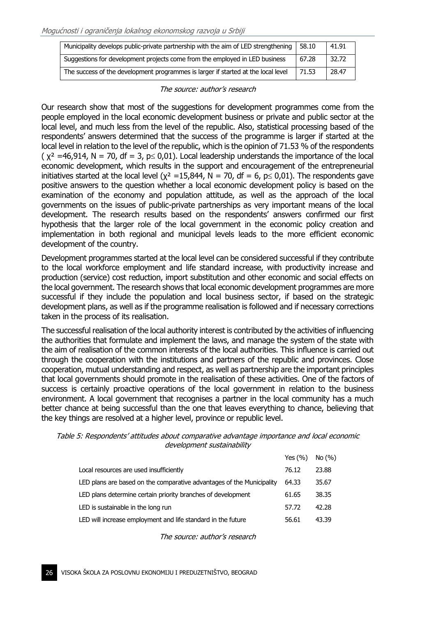| Municipality develops public-private partnership with the aim of LED strengthening | 58.10 | 41.91 |
|------------------------------------------------------------------------------------|-------|-------|
| Suggestions for development projects come from the employed in LED business        | 67.28 | 32.72 |
| The success of the development programmes is larger if started at the local level  | 71.53 | 28.47 |

The source: author's research

Our research show that most of the suggestions for development programmes come from the people employed in the local economic development business or private and public sector at the local level, and much less from the level of the republic. Also, statistical processing based of the respondents' answers determined that the success of the programme is larger if started at the local level in relation to the level of the republic, which is the opinion of 71.53 % of the respondents ( $x^2$  =46,914, N = 70, df = 3, p o,01). Local leadership understands the importance of the local economic development, which results in the support and encouragement of the entrepreneurial initiatives started at the local level ( $x^2 = 15,844$ , N = 70, df = 6, p leq 0,01). The respondents gave positive answers to the question whether a local economic development policy is based on the examination of the economy and population attitude, as well as the approach of the local governments on the issues of public-private partnerships as very important means of the local development. The research results based on the respondents' answers confirmed our first hypothesis that the larger role of the local government in the economic policy creation and implementation in both regional and municipal levels leads to the more efficient economic development of the country.

Development programmes started at the local level can be considered successful if they contribute to the local workforce employment and life standard increase, with productivity increase and production (service) cost reduction, import substitution and other economic and social effects on the local government. The research shows that local economic development programmes are more successful if they include the population and local business sector, if based on the strategic development plans, as well as if the programme realisation is followed and if necessary corrections taken in the process of its realisation.

The successful realisation of the local authority interest is contributed by the activities of influencing the authorities that formulate and implement the laws, and manage the system of the state with the aim of realisation of the common interests of the local authorities. This influence is carried out through the cooperation with the institutions and partners of the republic and provinces. Close cooperation, mutual understanding and respect, as well as partnership are the important principles that local governments should promote in the realisation of these activities. One of the factors of success is certainly proactive operations of the local government in relation to the business environment. A local government that recognises a partner in the local community has a much better chance at being successful than the one that leaves everything to chance, believing that the key things are resolved at a higher level, province or republic level.

| Table 5: Respondents' attitudes about comparative advantage importance and local economic |                            |  |  |
|-------------------------------------------------------------------------------------------|----------------------------|--|--|
|                                                                                           | development sustainability |  |  |

|                                                                       | Yes $(\% )$ | No (%) |
|-----------------------------------------------------------------------|-------------|--------|
| Local resources are used insufficiently                               | 76.12       | 23.88  |
| LED plans are based on the comparative advantages of the Municipality | 64.33       | 35.67  |
| LED plans determine certain priority branches of development          | 61.65       | 38.35  |
| LED is sustainable in the long run                                    | 57.72       | 42.28  |
| LED will increase employment and life standard in the future          | 56.61       | 43.39  |

The source: author's research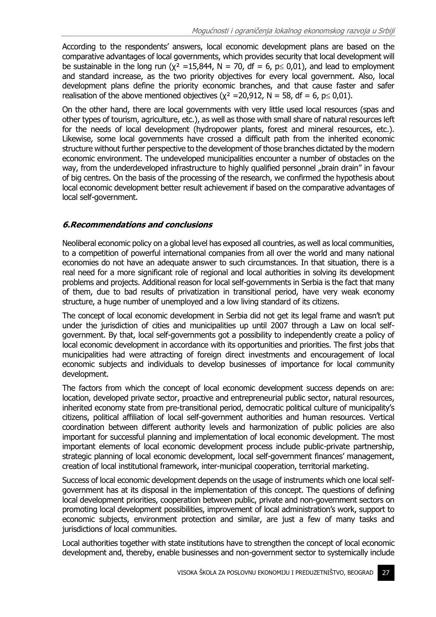According to the respondents' answers, local economic development plans are based on the comparative advantages of local governments, which provides security that local development will be sustainable in the long run ( $\chi^2$  =15,844, N = 70, df = 6, p \leq 0,01), and lead to employment and standard increase, as the two priority objectives for every local government. Also, local development plans define the priority economic branches, and that cause faster and safer realisation of the above mentioned objectives ( $x^2 = 20.912$ , N = 58, df = 6, p \le 0,01).

On the other hand, there are local governments with very little used local resources (spas and other types of tourism, agriculture, etc.), as well as those with small share of natural resources left for the needs of local development (hydropower plants, forest and mineral resources, etc.). Likewise, some local governments have crossed a difficult path from the inherited economic structure without further perspective to the development of those branches dictated by the modern economic environment. The undeveloped municipalities encounter a number of obstacles on the way, from the underdeveloped infrastructure to highly qualified personnel "brain drain" in favour of big centres. On the basis of the processing of the research, we confirmed the hypothesis about local economic development better result achievement if based on the comparative advantages of local self-government.

#### **6.Recommendations and conclusions**

Neoliberal economic policy on a global level has exposed all countries, as well as local communities, to a competition of powerful international companies from all over the world and many national economies do not have an adequate answer to such circumstances. In that situation, there is a real need for a more significant role of regional and local authorities in solving its development problems and projects. Additional reason for local self-governments in Serbia is the fact that many of them, due to bad results of privatization in transitional period, have very weak economy structure, a huge number of unemployed and a low living standard of its citizens.

The concept of local economic development in Serbia did not get its legal frame and wasn't put under the jurisdiction of cities and municipalities up until 2007 through a Law on local selfgovernment. By that, local self-governments got a possibility to independently create a policy of local economic development in accordance with its opportunities and priorities. The first jobs that municipalities had were attracting of foreign direct investments and encouragement of local economic subjects and individuals to develop businesses of importance for local community development.

The factors from which the concept of local economic development success depends on are: location, developed private sector, proactive and entrepreneurial public sector, natural resources, inherited economy state from pre-transitional period, democratic political culture of municipality's citizens, political affiliation of local self-government authorities and human resources. Vertical coordination between different authority levels and harmonization of public policies are also important for successful planning and implementation of local economic development. The most important elements of local economic development process include public-private partnership, strategic planning of local economic development, local self-government finances' management, creation of local institutional framework, inter-municipal cooperation, territorial marketing.

Success of local economic development depends on the usage of instruments which one local selfgovernment has at its disposal in the implementation of this concept. The questions of defining local development priorities, cooperation between public, private and non-government sectors on promoting local development possibilities, improvement of local administration's work, support to economic subjects, environment protection and similar, are just a few of many tasks and jurisdictions of local communities.

Local authorities together with state institutions have to strengthen the concept of local economic development and, thereby, enable businesses and non-government sector to systemically include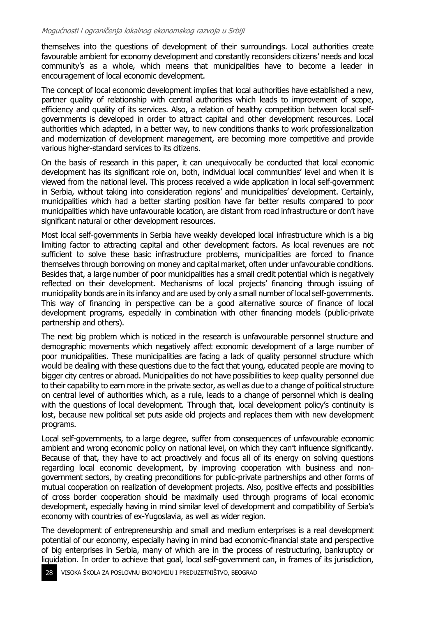themselves into the questions of development of their surroundings. Local authorities create favourable ambient for economy development and constantly reconsiders citizens' needs and local community's as a whole, which means that municipalities have to become a leader in encouragement of local economic development.

The concept of local economic development implies that local authorities have established a new, partner quality of relationship with central authorities which leads to improvement of scope, efficiency and quality of its services. Also, a relation of healthy competition between local selfgovernments is developed in order to attract capital and other development resources. Local authorities which adapted, in a better way, to new conditions thanks to work professionalization and modernization of development management, are becoming more competitive and provide various higher-standard services to its citizens.

On the basis of research in this paper, it can unequivocally be conducted that local economic development has its significant role on, both, individual local communities' level and when it is viewed from the national level. This process received a wide application in local self-government in Serbia, without taking into consideration regions' and municipalities' development. Certainly, municipalities which had a better starting position have far better results compared to poor municipalities which have unfavourable location, are distant from road infrastructure or don't have significant natural or other development resources.

Most local self-governments in Serbia have weakly developed local infrastructure which is a big limiting factor to attracting capital and other development factors. As local revenues are not sufficient to solve these basic infrastructure problems, municipalities are forced to finance themselves through borrowing on money and capital market, often under unfavourable conditions. Besides that, a large number of poor municipalities has a small credit potential which is negatively reflected on their development. Mechanisms of local projects' financing through issuing of municipality bonds are in its infancy and are used by only a small number of local self-governments. This way of financing in perspective can be a good alternative source of finance of local development programs, especially in combination with other financing models (public-private partnership and others).

The next big problem which is noticed in the research is unfavourable personnel structure and demographic movements which negatively affect economic development of a large number of poor municipalities. These municipalities are facing a lack of quality personnel structure which would be dealing with these questions due to the fact that young, educated people are moving to bigger city centres or abroad. Municipalities do not have possibilities to keep quality personnel due to their capability to earn more in the private sector, as well as due to a change of political structure on central level of authorities which, as a rule, leads to a change of personnel which is dealing with the questions of local development. Through that, local development policy's continuity is lost, because new political set puts aside old projects and replaces them with new development programs.

Local self-governments, to a large degree, suffer from consequences of unfavourable economic ambient and wrong economic policy on national level, on which they can't influence significantly. Because of that, they have to act proactively and focus all of its energy on solving questions regarding local economic development, by improving cooperation with business and nongovernment sectors, by creating preconditions for public-private partnerships and other forms of mutual cooperation on realization of development projects. Also, positive effects and possibilities of cross border cooperation should be maximally used through programs of local economic development, especially having in mind similar level of development and compatibility of Serbia's economy with countries of ex-Yugoslavia, as well as wider region.

The development of entrepreneurship and small and medium enterprises is a real development potential of our economy, especially having in mind bad economic-financial state and perspective of big enterprises in Serbia, many of which are in the process of restructuring, bankruptcy or liquidation. In order to achieve that goal, local self-government can, in frames of its jurisdiction,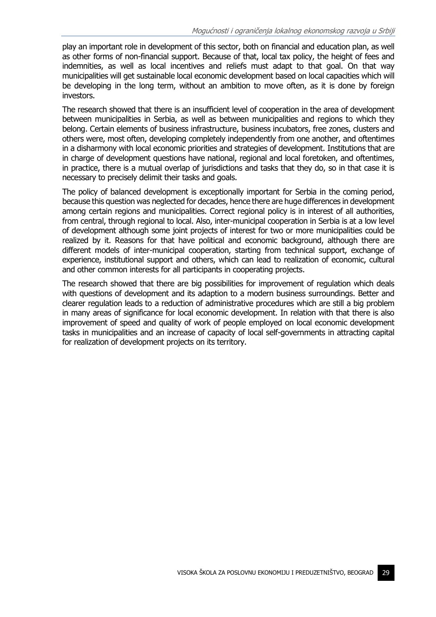play an important role in development of this sector, both on financial and education plan, as well as other forms of non-financial support. Because of that, local tax policy, the height of fees and indemnities, as well as local incentives and reliefs must adapt to that goal. On that way municipalities will get sustainable local economic development based on local capacities which will be developing in the long term, without an ambition to move often, as it is done by foreign investors.

The research showed that there is an insufficient level of cooperation in the area of development between municipalities in Serbia, as well as between municipalities and regions to which they belong. Certain elements of business infrastructure, business incubators, free zones, clusters and others were, most often, developing completely independently from one another, and oftentimes in a disharmony with local economic priorities and strategies of development. Institutions that are in charge of development questions have national, regional and local foretoken, and oftentimes, in practice, there is a mutual overlap of jurisdictions and tasks that they do, so in that case it is necessary to precisely delimit their tasks and goals.

The policy of balanced development is exceptionally important for Serbia in the coming period, because this question was neglected for decades, hence there are huge differences in development among certain regions and municipalities. Correct regional policy is in interest of all authorities, from central, through regional to local. Also, inter-municipal cooperation in Serbia is at a low level of development although some joint projects of interest for two or more municipalities could be realized by it. Reasons for that have political and economic background, although there are different models of inter-municipal cooperation, starting from technical support, exchange of experience, institutional support and others, which can lead to realization of economic, cultural and other common interests for all participants in cooperating projects.

The research showed that there are big possibilities for improvement of regulation which deals with questions of development and its adaption to a modern business surroundings. Better and clearer regulation leads to a reduction of administrative procedures which are still a big problem in many areas of significance for local economic development. In relation with that there is also improvement of speed and quality of work of people employed on local economic development tasks in municipalities and an increase of capacity of local self-governments in attracting capital for realization of development projects on its territory.